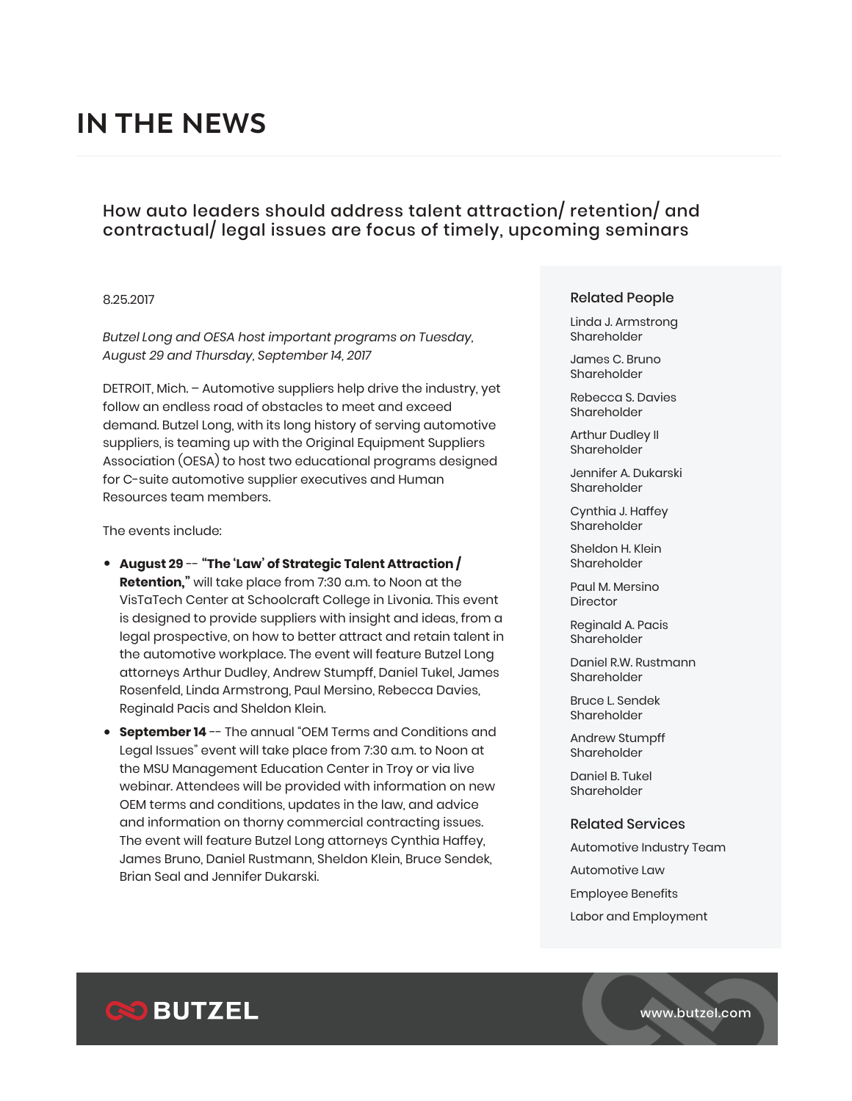# **IN THE NEWS**

## How auto leaders should address talent attraction/ retention/ and contractual/ legal issues are focus of timely, upcoming seminars

#### 8.25.2017

*Butzel Long and OESA host important programs on Tuesday, August 29 and Thursday, September 14, 2017*

DETROIT, Mich. – Automotive suppliers help drive the industry, yet follow an endless road of obstacles to meet and exceed demand. Butzel Long, with its long history of serving automotive suppliers, is teaming up with the Original Equipment Suppliers Association (OESA) to host two educational programs designed for C-suite automotive supplier executives and Human Resources team members.

The events include:

- **August 29** -- **"The 'Law' of Strategic Talent Attraction / Retention,"** will take place from 7:30 a.m. to Noon at the VisTaTech Center at Schoolcraft College in Livonia. This event is designed to provide suppliers with insight and ideas, from a legal prospective, on how to better attract and retain talent in the automotive workplace. The event will feature Butzel Long attorneys Arthur Dudley, Andrew Stumpff, Daniel Tukel, James Rosenfeld, Linda Armstrong, Paul Mersino, Rebecca Davies, Reginald Pacis and Sheldon Klein.
- **September 14** -- The annual "OEM Terms and Conditions and Legal Issues" event will take place from 7:30 a.m. to Noon at the MSU Management Education Center in Troy or via live webinar. Attendees will be provided with information on new OEM terms and conditions, updates in the law, and advice and information on thorny commercial contracting issues. The event will feature Butzel Long attorneys Cynthia Haffey, James Bruno, Daniel Rustmann, Sheldon Klein, Bruce Sendek, Brian Seal and Jennifer Dukarski.

#### Related People

Linda J. Armstrong Shareholder

James C. Bruno Shareholder

Rebecca S. Davies Shareholder

Arthur Dudley II Shareholder

Jennifer A. Dukarski Shareholder

Cynthia J. Haffey Shareholder

Sheldon H. Klein Shareholder

Paul M. Mersino **Director** 

Reginald A. Pacis Shareholder

Daniel R.W. Rustmann Shareholder

Bruce L. Sendek Shareholder

Andrew Stumpff Shareholder

Daniel B. Tukel Shareholder

#### Related Services

Automotive Industry Team

Automotive Law

Employee Benefits

Labor and Employment



www.butzel.com